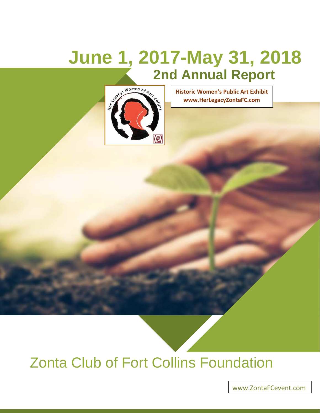# **June 1, 2017-May 31, 2018 2nd Annual Report**



**Historic Women's Public Art Exhibit www.HerLegacyZontaFC.com**

## Zonta Club of Fort Collins Foundation

[www.ZontaFCevent.com](http://www.zontafcevent.com/)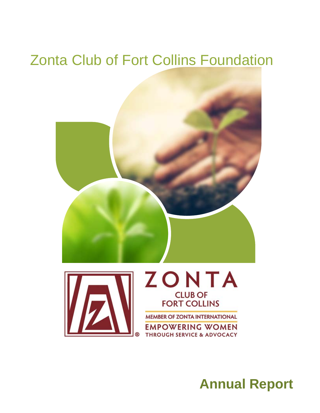## Zonta Club of Fort Collins Foundation



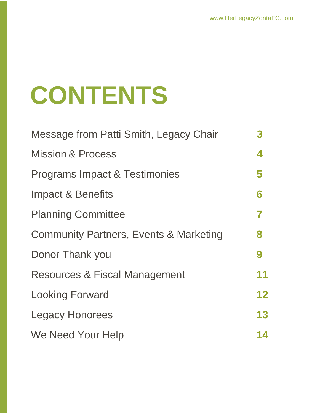# **CONTENTS**

| Message from Patti Smith, Legacy Chair            | 3  |
|---------------------------------------------------|----|
| <b>Mission &amp; Process</b>                      | 4  |
| <b>Programs Impact &amp; Testimonies</b>          | 5  |
| <b>Impact &amp; Benefits</b>                      | 6  |
| <b>Planning Committee</b>                         | 7  |
| <b>Community Partners, Events &amp; Marketing</b> | 8  |
| Donor Thank you                                   | 9  |
| <b>Resources &amp; Fiscal Management</b>          | 11 |
| <b>Looking Forward</b>                            | 12 |
| <b>Legacy Honorees</b>                            | 13 |
| We Need Your Help                                 | 14 |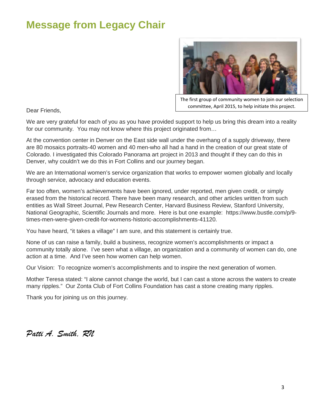### **Message from Legacy Chair**



The first group of community women to join our selection committee, April 2015, to help initiate this project.

Dear Friends,

We are very grateful for each of you as you have provided support to help us bring this dream into a reality for our community. You may not know where this project originated from…

At the convention center in Denver on the East side wall under the overhang of a supply driveway, there are 80 mosaics portraits-40 women and 40 men-who all had a hand in the creation of our great state of Colorado. I investigated this Colorado Panorama art project in 2013 and thought if they can do this in Denver, why couldn't we do this in Fort Collins and our journey began.

We are an International women's service organization that works to empower women globally and locally through service, advocacy and education events.

Far too often, women's achievements have been ignored, under reported, men given credit, or simply erased from the historical record. There have been many research, and other articles written from such entities as Wall Street Journal, Pew Research Center, Harvard Business Review, Stanford University, National Geographic, Scientific Journals and more. Here is but one example: https://www.bustle.com/p/9 times-men-were-given-credit-for-womens-historic-accomplishments-41120.

You have heard, "it takes a village" I am sure, and this statement is certainly true.

None of us can raise a family, build a business, recognize women's accomplishments or impact a community totally alone. I've seen what a village, an organization and a community of women can do, one action at a time. And I've seen how women can help women.

Our Vision: To recognize women's accomplishments and to inspire the next generation of women.

Mother Teresa stated: "I alone cannot change the world, but I can cast a stone across the waters to create many ripples." Our Zonta Club of Fort Collins Foundation has cast a stone creating many ripples.

Thank you for joining us on this journey.

*Patti A. Smith, RN*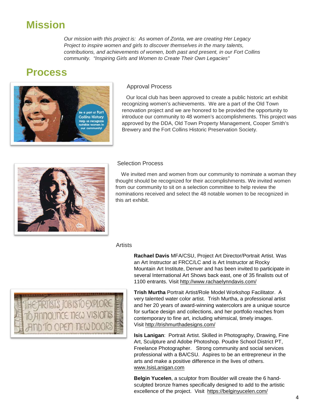#### **Mission**

*Our mission with this project is: As women of Zonta, we are creating Her Legacy Project to inspire women and girls to discover themselves in the many talents, contributions, and achievements of women, both past and present, in our Fort Collins community. "Inspiring Girls and Women to Create Their Own Legacies"*

#### **Process**



#### Approval Process

 Our local club has been approved to create a public historic art exhibit recognizing women's achievements. We are a part of the Old Town renovation project and we are honored to be provided the opportunity to introduce our community to 48 women's accomplishments. This project was approved by the DDA, Old Town Property Management, Cooper Smith's Brewery and the Fort Collins Historic Preservation Society.



#### Selection Process

 We invited men and women from our community to nominate a woman they thought should be recognized for their accomplishments. We invited women from our community to sit on a selection committee to help review the nominations received and select the 48 notable women to be recognized in this art exhibit.

#### **Artists**

**Rachael Davis** MFA/CSU, Project Art Director/Portrait Artist. Was an Art Instructor at FRCC/LC and is Art Instructor at Rocky Mountain Art Institute, Denver and has been invited to participate in several International Art Shows back east, one of 35 finalists out of 1100 entrants. Visit<http://www.rachaelynndavis.com/>



**Trish Murtha** Portrait Artist/Role Model Workshop Facilitator. A very talented water color artist. Trish Murtha, a professional artist and her 20 years of award-winning watercolors are a unique source for surface design and collections, and her portfolio reaches from contemporary to fine art, including whimsical, timely images. Visit<http://trishmurthadesigns.com/>

**Isis Lanigan**: Portrait Artist. Skilled in Photography, Drawing, Fine Art, Sculpture and Adobe Photoshop. Poudre School District PT, Freelance Photographer. Strong community and social services professional with a BA/CSU. Aspires to be an entrepreneur in the arts and make a positive difference in the lives of others. www.IsisLanigan.com

**Belgin Yucelen**, a sculptor from Boulder will create the 6 handsculpted bronze frames specifically designed to add to the artistic excellence of the project. Visit <https://belginyucelen.com/>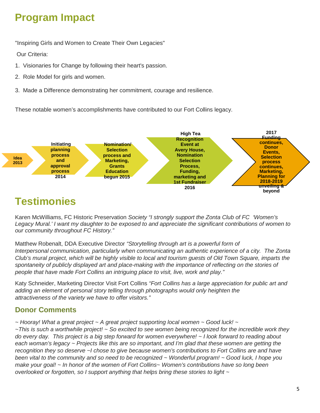## **Program Impact**

"Inspiring Girls and Women to Create Their Own Legacies"

Our Criteria:

- 1. Visionaries for Change by following their heart's passion.
- 2. Role Model for girls and women.
- 3. Made a Difference demonstrating her commitment, courage and resilience.

These notable women's accomplishments have contributed to our Fort Collins legacy.



#### **Testimonies**

Karen McWilliams, FC Historic Preservation *Society "I strongly support the Zonta Club of FC 'Women's Legacy Mural.' I want my daughter to be exposed to and appreciate the significant contributions of women to our community throughout FC History."*

Matthew Robenalt, DDA Executive Director *"Storytelling through art is a powerful form of Interpersonal communication, particularly when communicating an authentic experience of a city. The Zonta Club's mural project, which will be highly visible to local and tourism guests of Old Town Square, imparts the spontaneity of publicly displayed art and place-making with the importance of reflecting on the stories of people that have made Fort Collins an intriguing place to visit, live, work and play."*

Katy Schneider, Marketing Director Visit Fort Collins *"Fort Collins has a large appreciation for public art and adding an element of personal story telling through photographs would only heighten the attractiveness of the variety we have to offer visitors."*

#### **Donor Comments**

*~ Hooray! What a great project ~ A great project supporting local women ~ Good luck! ~* 

*~This is such a worthwhile project! ~ So excited to see women being recognized for the incredible work they do every day. This project is a big step forward for women everywhere! ~ I look forward to reading about each woman's legacy ~ Projects like this are so important, and I'm glad that these women are getting the recognition they so deserve ~I chose to give because women's contributions to Fort Collins are and have been vital to the community and so need to be recognized ~ Wonderful program! ~ Good luck, I hope you make your goal! ~ In honor of the women of Fort Collins~ Women's contributions have so long been overlooked or forgotten, so I support anything that helps bring these stories to light ~*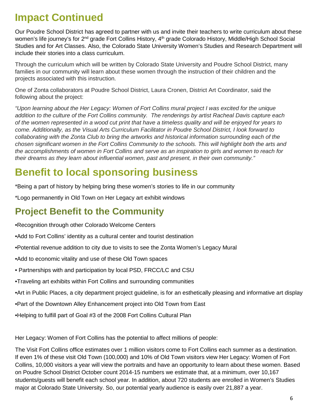### **Impact Continued**

Our Poudre School District has agreed to partner with us and invite their teachers to write curriculum about these women's life journey's for 2<sup>nd</sup> grade Fort Collins History, 4<sup>th</sup> grade Colorado History, Middle/High School Social Studies and for Art Classes. Also, the Colorado State University Women's Studies and Research Department will include their stories into a class curriculum.

Through the curriculum which will be written by Colorado State University and Poudre School District, many families in our community will learn about these women through the instruction of their children and the projects associated with this instruction.

One of Zonta collaborators at Poudre School District, Laura Cronen, District Art Coordinator, said the following about the project:

*"Upon learning about the Her Legacy: Women of Fort Collins mural project I was excited for the unique addition to the culture of the Fort Collins community. The renderings by artist Racheal Davis capture each of the women represented in a wood cut print that have a timeless quality and will be enjoyed for years to come. Additionally, as the Visual Arts Curriculum Facilitator in Poudre School District, I look forward to collaborating with the Zonta Club to bring the artworks and historical information surrounding each of the chosen significant women in the Fort Collins Community to the schools. This will highlight both the arts and the accomplishments of women in Fort Collins and serve as an inspiration to girls and women to reach for their dreams as they learn about influential women, past and present, in their own community."*

### **Benefit to local sponsoring business**

\*Being a part of history by helping bring these women's stories to life in our community

\*Logo permanently in Old Town on Her Legacy art exhibit windows

#### **Project Benefit to the Community**

•Recognition through other Colorado Welcome Centers

- •Add to Fort Collins' identity as a cultural center and tourist destination
- •Potential revenue addition to city due to visits to see the Zonta Women's Legacy Mural
- •Add to economic vitality and use of these Old Town spaces
- Partnerships with and participation by local PSD, FRCC/LC and CSU
- •Traveling art exhibits within Fort Collins and surrounding communities
- •Art in Public Places, a city department project guideline, is for an esthetically pleasing and informative art display
- •Part of the Downtown Alley Enhancement project into Old Town from East
- •Helping to fulfill part of Goal #3 of the 2008 Fort Collins Cultural Plan

Her Legacy: Women of Fort Collins has the potential to affect millions of people:

The Visit Fort Collins office estimates over 1 million visitors come to Fort Collins each summer as a destination. If even 1% of these visit Old Town (100,000) and 10% of Old Town visitors view Her Legacy: Women of Fort Collins, 10,000 visitors a year will view the portraits and have an opportunity to learn about these women. Based on Poudre School District October count 2014-15 numbers we estimate that, at a minimum, over 10,167 students/guests will benefit each school year. In addition, about 720 students are enrolled in Women's Studies major at Colorado State University. So, our potential yearly audience is easily over 21,887 a year.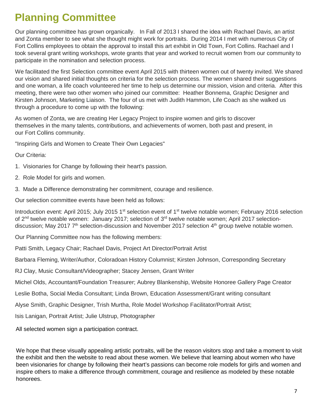## **Planning Committee**

Our planning committee has grown organically. In Fall of 2013 I shared the idea with Rachael Davis, an artist and Zonta member to see what she thought might work for portraits. During 2014 I met with numerous City of Fort Collins employees to obtain the approval to install this art exhibit in Old Town, Fort Collins. Rachael and I took several grant writing workshops, wrote grants that year and worked to recruit women from our community to participate in the nomination and selection process.

We facilitated the first Selection committee event April 2015 with thirteen women out of twenty invited. We shared our vision and shared initial thoughts on criteria for the selection process. The women shared their suggestions and one woman, a life coach volunteered her time to help us determine our mission, vision and criteria. After this meeting, there were two other women who joined our committee: Heather Bonnema, Graphic Designer and Kirsten Johnson, Marketing Liaison. The four of us met with Judith Hammon, Life Coach as she walked us through a procedure to come up with the following:

As women of Zonta, we are creating Her Legacy Project to inspire women and girls to discover themselves in the many talents, contributions, and achievements of women, both past and present, in our Fort Collins community.

"Inspiring Girls and Women to Create Their Own Legacies"

Our Criteria:

- 1. Visionaries for Change by following their heart's passion.
- 2. Role Model for girls and women.
- 3. Made a Difference demonstrating her commitment, courage and resilience.

Our selection committee events have been held as follows:

Introduction event: April 2015; July 2015 1<sup>st</sup> selection event of 1<sup>st</sup> twelve notable women; February 2016 selection of 2<sup>nd</sup> twelve notable women: January 2017; selection of 3<sup>rd</sup> twelve notable women; April 2017 selectiondiscussion; May 2017 7<sup>th</sup> selection-discussion and November 2017 selection 4<sup>th</sup> group twelve notable women.

Our Planning Committee now has the following members:

Patti Smith, Legacy Chair; Rachael Davis, Project Art Director/Portrait Artist

Barbara Fleming, Writer/Author, Coloradoan History Columnist; Kirsten Johnson, Corresponding Secretary

RJ Clay, Music Consultant/Videographer; Stacey Jensen, Grant Writer

Michel Olds, Accountant/Foundation Treasurer; Aubrey Blankenship, Website Honoree Gallery Page Creator

Leslie Botha, Social Media Consultant; Linda Brown, Education Assessment/Grant writing consultant

Alyse Smith, Graphic Designer, Trish Murtha, Role Model Workshop Facilitator/Portrait Artist;

Isis Lanigan, Portrait Artist; Julie Ulstrup, Photographer

All selected women sign a participation contract.

 inspire others to make a difference through commitment, courage and resilience as modeled by these notable We hope that these visually appealing artistic portraits, will be the reason visitors stop and take a moment to visit the exhibit and then the website to read about these women. We believe that learning about women who have been visionaries for change by following their heart's passions can become role models for girls and women and honorees.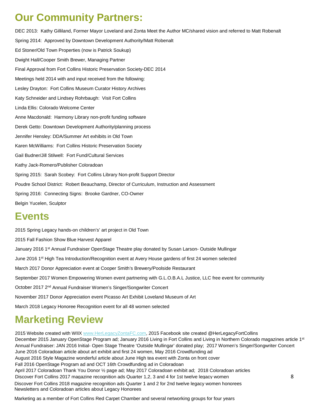#### **Our Community Partners:**

DEC 2013: Kathy Gilliland, Former Mayor Loveland and Zonta Meet the Author MC/shared vision and referred to Matt Robenalt Spring 2014: Approved by Downtown Development Authority/Matt Robenalt Ed Stoner/Old Town Properties (now is Patrick Soukup) Dwight Hall/Cooper Smith Brewer, Managing Partner Final Approval from Fort Collins Historic Preservation Society-DEC 2014 Meetings held 2014 with and input received from the following: Lesley Drayton: Fort Collins Museum Curator History Archives Katy Schneider and Lindsey Rohrbaugh: Visit Fort Collins Linda Ellis: Colorado Welcome Center Anne Macdonald: Harmony Library non-profit funding software Derek Getto: Downtown Development Authority/planning process Jennifer Hensley: DDA/Summer Art exhibits in Old Town Karen McWilliams: Fort Collins Historic Preservation Society Gail Budner/Jill Stilwell: Fort Fund/Cultural Services Kathy Jack-Romero/Publisher Coloradoan Spring 2015: Sarah Scobey: Fort Collins Library Non-profit Support Director Poudre School District: Robert Beauchamp, Director of Curriculum, Instruction and Assessment Spring 2016: Connecting Signs: Brooke Gardner, CO-Owner Belgin Yucelen, Sculptor

#### **Events**

2015 Spring Legacy hands-on children's' art project in Old Town 2015 Fall Fashion Show Blue Harvest Apparel January 2016 1<sup>st</sup> Annual Fundraiser OpenStage Theatre play donated by Susan Larson- Outside Mullingar June 2016 1<sup>st</sup> High Tea Introduction/Recognition event at Avery House gardens of first 24 women selected March 2017 Donor Appreciation event at Cooper Smith's Brewery/Poolside Restaurant September 2017 Women Empowering Women event partnering with G.L.O.B.A.L Justice, LLC free event for community October 2017 2nd Annual Fundraiser Women's Singer/Songwriter Concert November 2017 Donor Appreciation event Picasso Art Exhibit Loveland Museum of Art March 2018 Legacy Honoree Recognition event for all 48 women selected

#### **Marketing Review**

2015 Website created with WIIX [www.HerLegacyZontaFC.com,](http://www.herlegacyzontafc.com/) 2015 Facebook site created @HerLegacyFortCollins December 2015 January OpenStage Program ad; January 2016 Living in Fort Collins and Living in Northern Colorado magazines article 1<sup>st</sup> Annual Fundraiser: JAN 2016 Initial- Open Stage Theatre 'Outside Mullingar' donated play; 2017 Women's Singer/Songwriter Concert June 2016 Coloradoan article about art exhibit and first 24 women, May 2016 Crowdfunding ad August 2016 Style Magazine wonderful article about June High tea event with Zonta on front cover Fall 2016 OpenStage Program ad and OCT 16th Crowdfunding ad in Coloradoan April 2017 Coloradoan Thank You Donor ½ page ad; May 2017 Coloradoan exhibit ad; 2018 Coloradoan articles Discover Fort Collins 2017 magazine recognition ads Quarter 1,2, 3 and 4 for 1st twelve legacy women 8 Discover Fort Collins 2018 magazine recognition ads Quarter 1 and 2 for 2nd twelve legacy women honorees Newsletters and Coloradoan articles about Legacy Honorees

Marketing as a member of Fort Collins Red Carpet Chamber and several networking groups for four years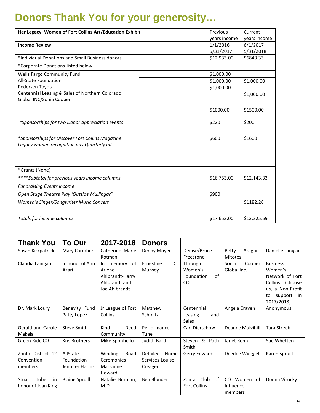## **Donors Thank You for your generosity…**

| Her Legacy: Women of Fort Collins Art/Education Exhibit                                       | Previous  |              | Current      |
|-----------------------------------------------------------------------------------------------|-----------|--------------|--------------|
|                                                                                               |           | vears income | vears income |
| <b>Income Review</b>                                                                          |           | 1/1/2016     | $6/1/2017$ - |
|                                                                                               |           | 5/31/2017    | 5/31/2018    |
| *Individual Donations and Small Business donors                                               |           | \$12,933.00  | \$6843.33    |
| *Corporate Donations-listed below                                                             |           |              |              |
| Wells Fargo Community Fund                                                                    |           | \$1,000.00   |              |
| All-State Foundation                                                                          |           | \$1,000.00   | \$1,000.00   |
| Pedersen Toyota                                                                               |           | \$1,000.00   |              |
| Centennial Leasing & Sales of Northern Colorado                                               |           |              | \$1,000.00   |
| Global INC/Sonia Cooper                                                                       |           |              |              |
|                                                                                               | \$1000.00 |              | \$1500.00    |
| *Sponsorships for two Donor appreciation events                                               | \$220     |              | \$200        |
| *Sponsorships for Discover Fort Collins Magazine<br>Legacy women recognition ads-Quarterly ad | \$600     |              | \$1600       |
| *Grants (None)                                                                                |           |              |              |
| ****Subtotal for previous years income columns                                                |           | \$16,753.00  | \$12,143.33  |
| <b>Fundraising Events income</b>                                                              |           |              |              |
| Open Stage Theatre Play 'Outside Mullingar"                                                   | \$900     |              |              |
| Women's Singer/Songwriter Music Concert                                                       |           |              | \$1182.26    |
|                                                                                               |           |              |              |
| Totals for income columns                                                                     |           | \$17,653.00  | \$13,325.59  |

| <b>Thank You</b>   | To Our                | 2017-2018          | <b>Donors</b>    |                     |                         |                      |
|--------------------|-----------------------|--------------------|------------------|---------------------|-------------------------|----------------------|
| Susan Kirkpatrick  | Mary Carraher         | Catherine Marie    | Denny Moyer      | Denise/Bruce        | <b>Betty</b><br>Aragon- | Danielle Lanigan     |
|                    |                       | Rotman             |                  | Freestone           | <b>Mitotes</b>          |                      |
| Claudia Lanigan    | In honor of Ann       | memory of<br>In In | C.<br>Ernestine  | Through             | Sonia<br>Cooper         | <b>Business</b>      |
|                    | Azari                 | Arlene             | Munsey           | Women's             | Global Inc.             | Women's              |
|                    |                       | Ahlbrandt-Harry    |                  | Foundation<br>of    |                         | Network of Fort      |
|                    |                       | Ahlbrandt and      |                  | CO                  |                         | Collins (choose      |
|                    |                       | Joe Ahlbrandt      |                  |                     |                         | us, a Non-Profit     |
|                    |                       |                    |                  |                     |                         | support<br>in.<br>to |
|                    |                       |                    |                  |                     |                         | 2017/2018)           |
| Dr. Mark Loury     | Benevity Fund         | Jr League of Fort  | Matthew          | Centennial          | Angela Craven           | Anonymous            |
|                    | Patty Lopez           | Collins            | Schmitz          | Leasing<br>and      |                         |                      |
|                    |                       |                    |                  | Sales               |                         |                      |
| Gerald and Carole  | <b>Steve Smith</b>    | Kind<br>Deed       | Performance      | Carl Dierschow      | Deanne Mulvihill        | <b>Tara Streeb</b>   |
| Makela             |                       | Community          | Tune             |                     |                         |                      |
| Green Ride CO-     | <b>Kris Brothers</b>  | Mike Spontiello    | Judith Barth     | & Patti<br>Steven   | Janet Rehn              | Sue Whetten          |
|                    |                       |                    |                  | Smith               |                         |                      |
| Zonta District 12  | AllState              | Winding<br>Road    | Detailed<br>Home | Gerry Edwards       | Deedee Wieggel          | Karen Spruill        |
| Convention         | Foundation-           | Ceremonies-        | Services-Louise  |                     |                         |                      |
| members            | Jennifer Harms        | Marsanne           | Creager          |                     |                         |                      |
|                    |                       | Howard             |                  |                     |                         |                      |
| Stuart Tobet in    | <b>Blaine Spruill</b> | Natalie Burman,    | Ben Blonder      | Club<br>of<br>Zonta | CO<br>Women of          | Donna Visocky        |
| honor of Joan King |                       | M.D.               |                  | <b>Fort Collins</b> | Influence               |                      |
|                    |                       |                    |                  |                     | members                 |                      |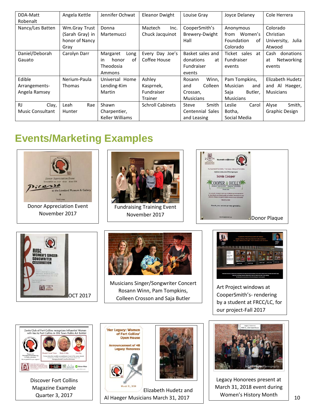| DDA-Matt                | Angela Kettle   | Jennifer Ochwat   | Eleanor Dwight          | Louise Gray      | Joyce Delaney           | Cole Herrera      |
|-------------------------|-----------------|-------------------|-------------------------|------------------|-------------------------|-------------------|
| Robenalt                |                 |                   |                         |                  |                         |                   |
| Nancy/Les Batten        | Wm.Gray Trust   | Donna             | Maztech<br>Inc.         | CooperSmith's    | Anonymous               | Colorado          |
|                         | (Sarah Gray) in | Martemucci        | Chuck Jacquinot         | Brewery-Dwight   | from Women's            | Christian         |
|                         | honor of Nancy  |                   |                         | Hall             | <b>Foundation</b><br>of | University, Julia |
|                         | Grav            |                   |                         |                  | Colorado                | Atwood            |
| Daniel/Deborah          | Carolyn Darr    | Margaret<br>Long  | Every Day Joe's         | Basket sales and | Ticket sales at         | Cash<br>donations |
| Gauato                  |                 | honor<br>of<br>in | Coffee House            | donations<br>at  | Fundraiser              | Networking<br>at  |
|                         |                 | Theodosia         |                         | Fundraiser       | events                  | events            |
|                         |                 | Ammons            |                         | events           |                         |                   |
| Edible                  | Nerium-Paula    | Universal Home    | Ashley                  | Winn,<br>Rosann  | Pam Tompkins,           | Elizabeth Hudetz  |
| Arrangements-           | <b>Thomas</b>   | Lending-Kim       | Kasprnek,               | Colleen<br>and   | Musician<br>and         | and Al Haeger,    |
| Angela Ramsey           |                 | Martin            | Fundraiser              | Crossan,         | Saja<br>Butler,         | <b>Musicians</b>  |
|                         |                 |                   | Trainer                 | <b>Musicians</b> | <b>Musicians</b>        |                   |
| <b>RJ</b><br>Clay,      | Leah<br>Rae     | Shawn             | <b>Schroll Cabinets</b> | Steve<br>Smith   | Leslie<br>Carol         | Alyse<br>Smith,   |
| <b>Music Consultant</b> | Hunter          | Charpentier,      |                         | Centennial Sales | Botha,                  | Graphic Design    |
|                         |                 | Keller Williams   |                         | and Leasing      | Social Media            |                   |

## **Events/Marketing Examples**





Discover Fort Collins Magazine Example





Elizabeth Hudetz and Quarter 3, 2017 Al Haeger Musicians March 31, 2017 Nomen's History Month 10



Legacy Honorees present at March 31, 2018 event during Women's History Month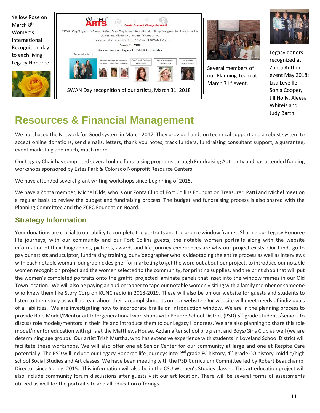



Several members of our Planning Team at March 31<sup>st</sup> event.



Legacy donors recognized at Zonta Author event May 2018: Lisa Leveille, Sonia Cooper, Jill Holly, Aleesa Whiteis and Judy Barth

## **Resources & Financial Management**

We purchased the Network for Good system in March 2017. They provide hands on technical support and a robust system to accept online donations, send emails, letters, thank you notes, track funders, fundraising consultant support, a guarantee, event marketing and much, much more.

Our Legacy Chair has completed several online fundraising programs through Fundraising Authority and has attended funding workshops sponsored by Estes Park & Colorado Nonprofit Resource Centers.

We have attended several grant writing workshops since beginning of 2015.

We have a Zonta member, Michel Olds, who is our Zonta Club of Fort Collins Foundation Treasurer. Patti and Michel meet on a regular basis to review the budget and fundraising process. The budget and fundraising process is also shared with the Planning Committee and the ZCFC Foundation Board.

#### **Strategy Information**

Your donations are crucial to our ability to complete the portraits and the bronze window frames. Sharing our Legacy Honoree life journeys, with our community and our Fort Collins guests, the notable women portraits along with the website information of their biographies, pictures, awards and life journey experiences are why our project exists. Our funds go to pay our artists and sculptor, fundraising training, our videographer who is videotaping the entire process as well as interviews with each notable woman, our graphic designer for marketing to get the word out about our project, to introduce our notable women recognition project and the women selected to the community, for printing supplies, and the print shop that will put the women's completed portraits onto the graffiti projected laminate panels that inset into the window frames in our Old Town location. We will also be paying an audiographer to tape our notable women visiting with a family member or someone who knew them like Story Corp on KUNC radio in 2018-2019. These will also be on our website for guests and students to listen to their story as well as read about their accomplishments on our website. Our website will meet needs of individuals of all abilities. We are investigating how to incorporate braille on introduction window. We are in the planning process to provide Role Model/Mentor art Intergenerational workshops with Poudre School District (PSD) 5<sup>th</sup> grade students/seniors to discuss role models/mentors in their life and introduce them to our Legacy Honorees. We are also planning to share this role model/mentor education with girls at the Matthews House, Aztlan after school program, and Boys/Girls Club as well (we are determining age group). Our artist Trish Murtha, who has extensive experience with students in Loveland School District will facilitate these workshops. We will also offer one at Senior Center for our community at large and one at Respite Care potentially. The PSD will include our Legacy Honoree life journeys into 2<sup>nd</sup> grade FC history, 4<sup>th</sup> grade CO history, middle/high school Social Studies and Art classes. We have been meeting with the PSD Curriculum Committee led by Robert Beauchamp, Director since Spring, 2015. This information will also be in the CSU Women's Studies classes. This art education project will also include community forum discussions after guests visit our art location. There will be several forms of assessments utilized as well for the portrait site and all education offerings.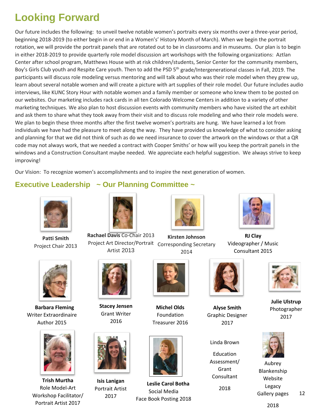## **Looking Forward**

Our future includes the following: to unveil twelve notable women's portraits every six months over a three-year period, beginning 2018-2019 (to either begin in or end in a Women's' History Month of March). When we begin the portrait rotation, we will provide the portrait panels that are rotated out to be in classrooms and in museums. Our plan is to begin in either 2018-2019 to provide quarterly role model discussion art workshops with the following organizations: Aztlan Center after school program, Matthews House with at risk children/students, Senior Center for the community members, Boy's Girls Club youth and Respite Care youth. Then to add the PSD 5<sup>th</sup> grade/Intergenerational classes in Fall, 2019. The participants will discuss role modeling versus mentoring and will talk about who was their role model when they grew up, learn about several notable women and will create a picture with art supplies of their role model. Our future includes audio interviews, like KUNC Story Hour with notable women and a family member or someone who knew them to be posted on our websites. Our marketing includes rack cards in all ten Colorado Welcome Centers in addition to a variety of other marketing techniques. We also plan to host discussion events with community members who have visited the art exhibit and ask them to share what they took away from their visit and to discuss role modeling and who their role models were. We plan to begin these three months after the first twelve women's portraits are hung. We have learned a lot from individuals we have had the pleasure to meet along the way. They have provided us knowledge of what to consider asking and planning for that we did not think of such as do we need insurance to cover the artwork on the windows or that a QR code may not always work, that we needed a contract with Cooper Smiths' or how will you keep the portrait panels in the windows and a Construction Consultant maybe needed. We appreciate each helpful suggestion. We always strive to keep improving!

Our Vision: To recognize women's accomplishments and to inspire the next generation of women.

#### **Executive Leadership ~ Our Planning Committee ~**



**Patti Smith**  Project Chair 2013



 **Barbara Fleming** Writer Extraordinaire Author 2015



**Trish Murtha** Role Model-Art Workshop Facilitator/ Portrait Artist 2017



Project Art Director/Portrait Corresponding Secretary **Rachael Davis** Co-Chair 2013 Artist 2013



**Kirsten Johnson** 2014



**RJ Clay** Videographer / Music Consultant 2015



**Alyse Smith** Graphic Designer 2017

Linda Brown

Education Assessment/ Grant Consultant 2018



**Julie Ulstrup** Photographer 2017



Aubrey Blankenship Website Legacy Gallery pages



12

2016

**Stacey Jensen** Grant Writer

**Isis Lanigan** Portrait Artist 2017



**Michel Olds** Foundation Treasurer 2016



 **Leslie Carol Botha** Social Media Face Book Posting 2018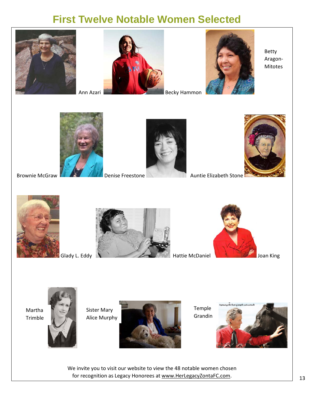#### **First Twelve Notable Women Selected**







Betty Aragon-Mitotes



Brownie McGraw **Denise Freestone** Auntie Elizabeth Stone









Martha Trimble



Sister Mary Alice Murphy



Temple Grandin



We invite you to visit our website to view the 48 notable women chosen for recognition as Legacy Honorees at [www.HerLegacyZontaFC.com.](http://www.herlegacyzontafc.com/)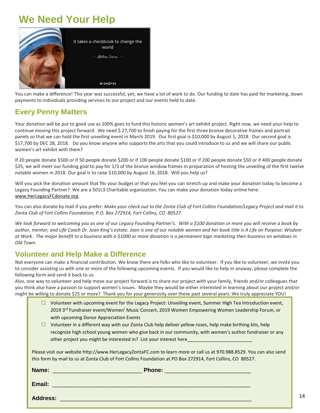#### **We Need Your Help**



You can make a difference! This year was successful, yet; we have a lot of work to do. Our funding to date has paid for marketing, down payments to individuals providing services to our project and our events held to date.

#### **Every Penny Matters**

Your donation will be put to good use as 100% goes to fund this historic women's art exhibit project. Right now, we need your help to continue moving this project forward. We need \$ 27,700 to finish paying for the first three bronze decorative frames and portrait panels so that we can hold the first unveiling event in March 2019. Our first goal is \$10,000 by August 1, 2018. Our second goal is \$17,700 by DEC 28, 2018. Do you know anyone who supports the arts that you could introduce to us and we will share our public women's art exhibit with them?

If 20 people donate \$500 or if 50 people donate \$200 or if 100 people donate \$100 or if 200 people donate \$50 or if 400 people donate \$25, we will meet our funding goal to pay for 1/3 of the bronze window frames in preparation of hosting the unveiling of the first twelve notable women in 2018. Our goal is to raise \$10,000 by August 16, 2018. Will you help us?

Will you pick the donation amount that fits your budget or that you feel you can stretch up and make your donation today to become a Legacy Founding Partner? We are a 501c3 Charitable organization. You can make your donation today online here: [www.HerLegacyFCdonate.org.](http://www.herlegacyfcdonate.org/)

You can also donate by mail if you prefer: *Make your check out to the Zonta Club of Fort Collins Foundation/Legacy Project and mail it to Zonta Club of Fort Collins Foundation, P.O. Box 272914, Fort Collins, CO 80527.*

We look forward to welcoming you as one of our Legacy Founding Partner's. With a \$100 donation or more you will receive a book by *author, mentor, and Life Coach Dr. Joan King's estate. Joan is one of our notable women and her book title is A Life on Purpose: Wisdom at Work. The major benefit to a business with a \$1000 or more donation is a permanent logo marketing their business on windows in Old Town.*

#### **Volunteer and Help Make a Difference**

Not everyone can make a financial contribution. We know there are folks who like to volunteer. If you like to volunteer, we invite you to consider assisting us with one or more of the following upcoming events. If you would like to help in anyway, please complete the following form and send it back to us.

Also, one way to volunteer and help move our project forward is to share our project with your family, friends and/or colleagues that you think also have a passion to support women's issues. Maybe they would be either interested in learning about our project and/or might be willing to donate \$25 or more? Thank you for your generosity over these past several years. We truly appreciate YOU!

- $\Box$  Volunteer with upcoming event for the Legacy Project: Unveiling event, Summer High Tea Introduction event, 2019 3<sup>rd</sup> Fundraiser event/Women' Music Concert, 2019 Women Empowering Women Leadership Forum, or with upcoming Donor Appreciation Events
- $\Box$  Volunteer in a different way with our Zonta Club help deliver yellow roses, help make birthing kits, help recognize high school young women who give back in our community, with women's author fundraiser or any other project you might be interested in? List your interest here

Please visit our website http://www.HerLegacyZontaFC.com to learn more or call us at 970.988.8529. You can also send this form by mail to us at Zonta Club of Fort Collins Foundation at PO Box 272914, Fort Collins, CO 80527.

| Name:           | <b>Phone:</b> |
|-----------------|---------------|
| Email:          |               |
| <b>Address:</b> |               |